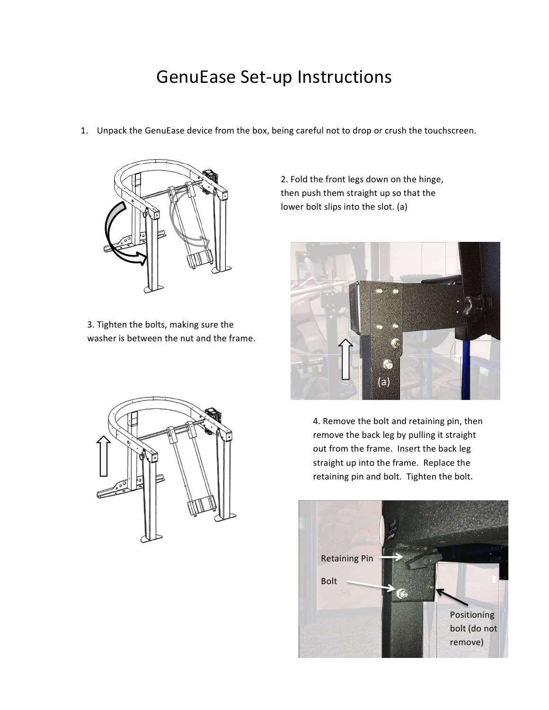## GenuEase Set-up Instructions

1. Unpack the GenuEase device from the box, being careful not to drop or crush the touchscreen.



3. Tighten the bolts, making sure the washer is between the nut and the frame.



2. Fold the front legs down on the hinge, then push them straight up so that the lower bolt slips into the slot. (a)



4. Remove the bolt and retaining pin, then remove the back leg by pulling it straight out from the frame. Insert the back leg straight up into the frame. Replace the retaining pin and bolt. Tighten the bolt.

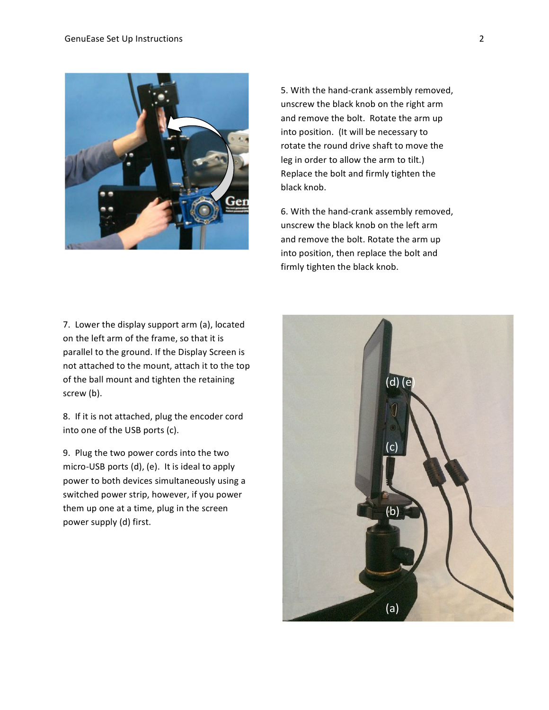

5. With the hand-crank assembly removed, unscrew the black knob on the right arm and remove the bolt. Rotate the arm up into position. (It will be necessary to rotate the round drive shaft to move the leg in order to allow the arm to tilt.) Replace the bolt and firmly tighten the black knob.

6. With the hand-crank assembly removed, unscrew the black knob on the left arm and remove the bolt. Rotate the arm up into position, then replace the bolt and firmly tighten the black knob.

7. Lower the display support arm (a), located on the left arm of the frame, so that it is parallel to the ground. If the Display Screen is not attached to the mount, attach it to the top of the ball mount and tighten the retaining screw (b).

8. If it is not attached, plug the encoder cord into one of the USB ports (c).

9. Plug the two power cords into the two micro-USB ports  $(d)$ ,  $(e)$ . It is ideal to apply power to both devices simultaneously using a switched power strip, however, if you power them up one at a time, plug in the screen power supply (d) first.

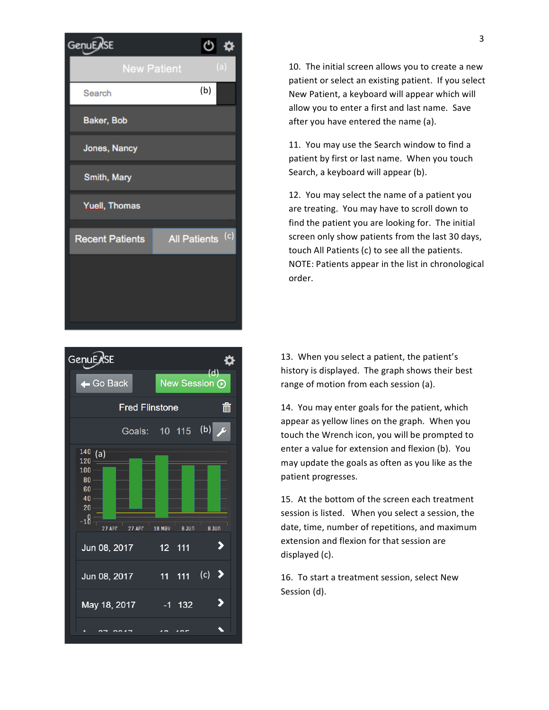



10. The initial screen allows you to create a new patient or select an existing patient. If you select New Patient, a keyboard will appear which will allow you to enter a first and last name. Save after you have entered the name (a).

11. You may use the Search window to find a patient by first or last name. When you touch Search, a keyboard will appear (b).

12. You may select the name of a patient you are treating. You may have to scroll down to find the patient you are looking for. The initial screen only show patients from the last 30 days, touch All Patients (c) to see all the patients. NOTE: Patients appear in the list in chronological order. 

13. When you select a patient, the patient's history is displayed. The graph shows their best range of motion from each session (a).

14. You may enter goals for the patient, which appear as yellow lines on the graph. When you touch the Wrench icon, you will be prompted to enter a value for extension and flexion (b). You may update the goals as often as you like as the patient progresses.

15. At the bottom of the screen each treatment session is listed. When you select a session, the date, time, number of repetitions, and maximum extension and flexion for that session are displayed (c).

16. To start a treatment session, select New Session (d).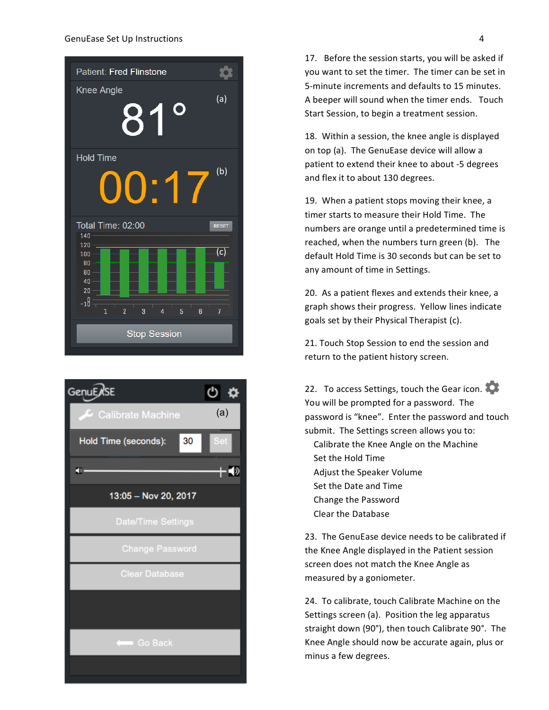



17. Before the session starts, you will be asked if you want to set the timer. The timer can be set in 5-minute increments and defaults to 15 minutes. A beeper will sound when the timer ends. Touch Start Session, to begin a treatment session.

18. Within a session, the knee angle is displayed on top (a). The GenuEase device will allow a patient to extend their knee to about -5 degrees and flex it to about 130 degrees.

19. When a patient stops moving their knee, a timer starts to measure their Hold Time. The numbers are orange until a predetermined time is reached, when the numbers turn green (b). The default Hold Time is 30 seconds but can be set to any amount of time in Settings.

20. As a patient flexes and extends their knee, a graph shows their progress. Yellow lines indicate goals set by their Physical Therapist (c).

21. Touch Stop Session to end the session and return to the patient history screen.

22. To access Settings, touch the Gear icon. You will be prompted for a password. The password is "knee". Enter the password and touch submit. The Settings screen allows you to: Calibrate the Knee Angle on the Machine Set the Hold Time Adjust the Speaker Volume Set the Date and Time Change the Password Clear the Database

23. The GenuEase device needs to be calibrated if the Knee Angle displayed in the Patient session screen does not match the Knee Angle as measured by a goniometer.

24. To calibrate, touch Calibrate Machine on the Settings screen (a). Position the leg apparatus straight down (90°), then touch Calibrate 90°. The Knee Angle should now be accurate again, plus or minus a few degrees.